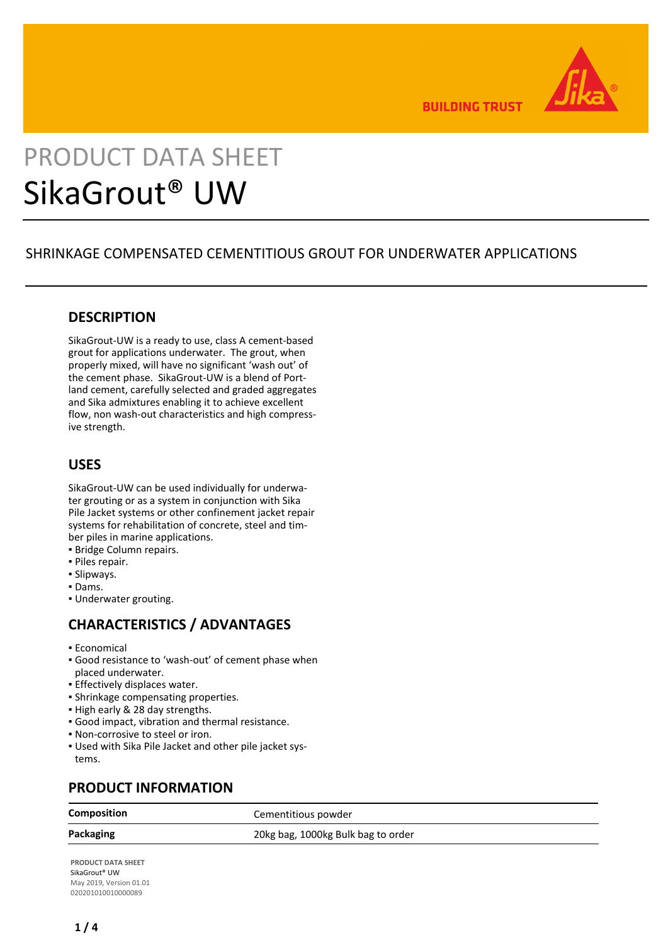

**BUILDING TRUST** 

# PRODUCT DATA SHEET SikaGrout® UW

# SHRINKAGE COMPENSATED CEMENTITIOUS GROUT FOR UNDERWATER APPLICATIONS

# **DESCRIPTION**

SikaGrout-UW is a ready to use, class A cement-based grout for applications underwater. The grout, when properly mixed, will have no significant 'wash out' of the cement phase. SikaGrout-UW is a blend of Portland cement, carefully selected and graded aggregates and Sika admixtures enabling it to achieve excellent flow, non wash-out characteristics and high compressive strength.

# **USES**

SikaGrout-UW can be used individually for underwater grouting or as a system in conjunction with Sika Pile Jacket systems or other confinement jacket repair systems for rehabilitation of concrete, steel and timber piles in marine applications.

- **Bridge Column repairs.**
- Piles repair.
- Slipways.
- Dams.
- Underwater grouting.

# **CHARACTERISTICS / ADVANTAGES**

- Economical
- Good resistance to 'wash-out' of cement phase when placed underwater.
- **Effectively displaces water.**
- **· Shrinkage compensating properties.**
- High early & 28 day strengths.
- Good impact, vibration and thermal resistance.
- Non-corrosive to steel or iron.
- Used with Sika Pile Jacket and other pile jacket sys-▪ tems.

# **PRODUCT INFORMATION**

**Composition** Cementitious powder

**Packaging** 20kg bag, 1000kg Bulk bag to order

**PRODUCT DATA SHEET** SikaGrout® UW May 2019, Version 01.01 020201010010000089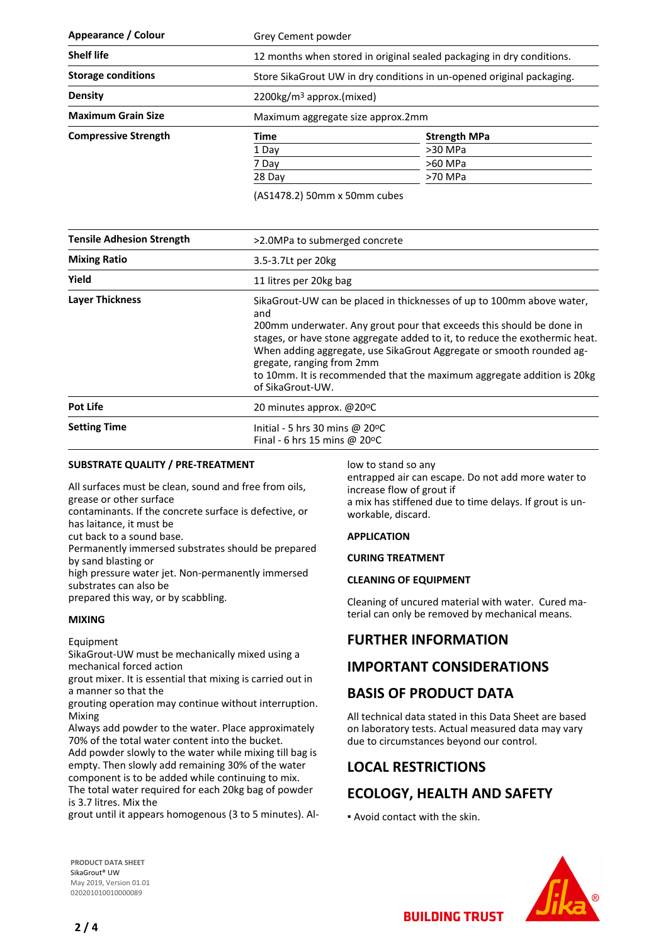| Appearance / Colour         | Grey Cement powder                                                    |                     |
|-----------------------------|-----------------------------------------------------------------------|---------------------|
| <b>Shelf life</b>           | 12 months when stored in original sealed packaging in dry conditions. |                     |
| <b>Storage conditions</b>   | Store SikaGrout UW in dry conditions in un-opened original packaging. |                     |
| <b>Density</b>              | $2200\mathrm{kg/m}^3$ approx.(mixed)                                  |                     |
| <b>Maximum Grain Size</b>   | Maximum aggregate size approx.2mm                                     |                     |
| <b>Compressive Strength</b> | Time                                                                  | <b>Strength MPa</b> |
|                             | 1 Day                                                                 | >30 MPa             |
|                             | 7 Day                                                                 | >60 MPa             |
|                             | 28 Day                                                                | >70 MPa             |

(AS1478.2) 50mm x 50mm cubes

| <b>Tensile Adhesion Strength</b> | >2.0MPa to submerged concrete                                                                                                                                                                                                                                                                                                                                                                                                           |  |
|----------------------------------|-----------------------------------------------------------------------------------------------------------------------------------------------------------------------------------------------------------------------------------------------------------------------------------------------------------------------------------------------------------------------------------------------------------------------------------------|--|
| <b>Mixing Ratio</b>              | 3.5-3.7Lt per 20kg                                                                                                                                                                                                                                                                                                                                                                                                                      |  |
| Yield                            | 11 litres per 20kg bag                                                                                                                                                                                                                                                                                                                                                                                                                  |  |
| <b>Laver Thickness</b>           | SikaGrout-UW can be placed in thicknesses of up to 100mm above water,<br>and<br>200mm underwater. Any grout pour that exceeds this should be done in<br>stages, or have stone aggregate added to it, to reduce the exothermic heat.<br>When adding aggregate, use SikaGrout Aggregate or smooth rounded ag-<br>gregate, ranging from 2mm<br>to 10mm. It is recommended that the maximum aggregate addition is 20 kg<br>of SikaGrout-UW. |  |
| <b>Pot Life</b>                  | 20 minutes approx. @20°C                                                                                                                                                                                                                                                                                                                                                                                                                |  |
| <b>Setting Time</b>              | Initial - 5 hrs 30 mins @ $20^{\circ}$ C<br>Final - 6 hrs 15 mins @ 20 $\degree$ C                                                                                                                                                                                                                                                                                                                                                      |  |

### **SUBSTRATE QUALITY / PRE-TREATMENT**

All surfaces must be clean, sound and free from oils, grease or other surface

contaminants. If the concrete surface is defective, or has laitance, it must be

cut back to a sound base.

Permanently immersed substrates should be prepared by sand blasting or

high pressure water jet. Non-permanently immersed substrates can also be

prepared this way, or by scabbling.

### **MIXING**

Equipment

SikaGrout-UW must be mechanically mixed using a mechanical forced action

grout mixer. It is essential that mixing is carried out in a manner so that the

grouting operation may continue without interruption. Mixing

Always add powder to the water. Place approximately 70% of the total water content into the bucket.

Add powder slowly to the water while mixing till bag is empty. Then slowly add remaining 30% of the water component is to be added while continuing to mix. The total water required for each 20kg bag of powder

is 3.7 litres. Mix the

grout until it appears homogenous (3 to 5 minutes). Al-

low to stand so any

entrapped air can escape. Do not add more water to increase flow of grout if a mix has stiffened due to time delays. If grout is unworkable, discard.

#### **APPLICATION**

#### **CURING TREATMENT**

#### **CLEANING OF EQUIPMENT**

Cleaning of uncured material with water. Cured material can only be removed by mechanical means.

# **FURTHER INFORMATION**

# **IMPORTANT CONSIDERATIONS**

# **BASIS OF PRODUCT DATA**

All technical data stated in this Data Sheet are based on laboratory tests. Actual measured data may vary due to circumstances beyond our control.

# **LOCAL RESTRICTIONS**

# **ECOLOGY, HEALTH AND SAFETY**

▪ Avoid contact with the skin.

**PRODUCT DATA SHEET** SikaGrout® UW May 2019, Version 01.01 020201010010000089

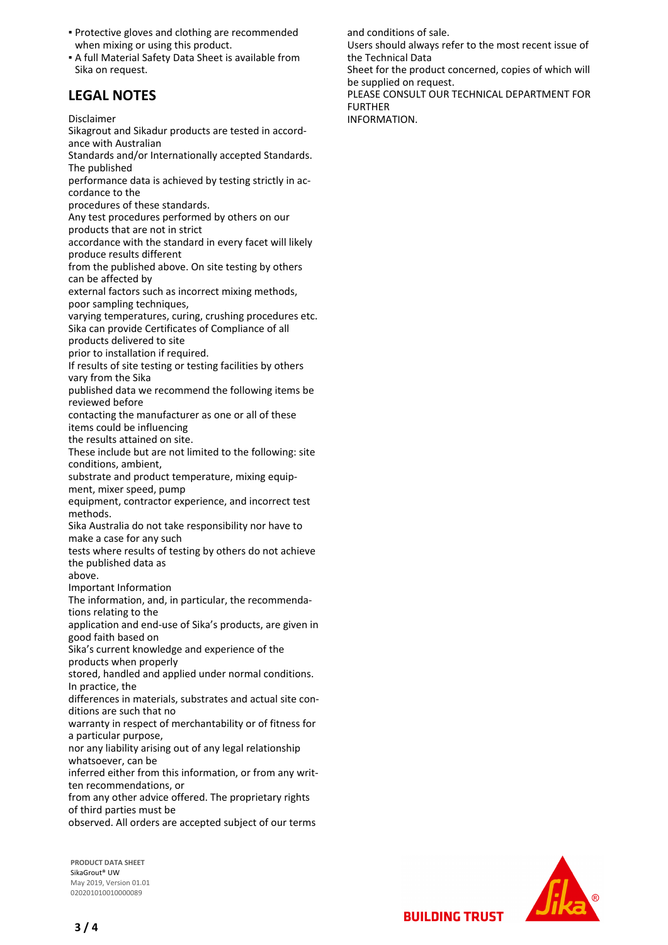- **Protective gloves and clothing are recommended** when mixing or using this product.
- A full Material Safety Data Sheet is available from Sika on request.

# **LEGAL NOTES**

Disclaimer

Sikagrout and Sikadur products are tested in accordance with Australian

Standards and/or Internationally accepted Standards. The published

performance data is achieved by testing strictly in accordance to the

procedures of these standards.

Any test procedures performed by others on our products that are not in strict

accordance with the standard in every facet will likely produce results different

from the published above. On site testing by others can be affected by

external factors such as incorrect mixing methods, poor sampling techniques,

varying temperatures, curing, crushing procedures etc. Sika can provide Certificates of Compliance of all

products delivered to site

prior to installation if required.

If results of site testing or testing facilities by others vary from the Sika

published data we recommend the following items be reviewed before

contacting the manufacturer as one or all of these items could be influencing

the results attained on site.

These include but are not limited to the following: site conditions, ambient,

substrate and product temperature, mixing equipment, mixer speed, pump

equipment, contractor experience, and incorrect test methods.

Sika Australia do not take responsibility nor have to make a case for any such

tests where results of testing by others do not achieve the published data as

above.

Important Information

The information, and, in particular, the recommendations relating to the

application and end-use of Sika's products, are given in good faith based on

Sika's current knowledge and experience of the products when properly

stored, handled and applied under normal conditions. In practice, the

differences in materials, substrates and actual site conditions are such that no

warranty in respect of merchantability or of fitness for a particular purpose,

nor any liability arising out of any legal relationship whatsoever, can be

inferred either from this information, or from any written recommendations, or

from any other advice offered. The proprietary rights of third parties must be

observed. All orders are accepted subject of our terms

**PRODUCT DATA SHEET** SikaGrout® UW May 2019, Version 01.01 020201010010000089



**BUILDING TRUST** 

and conditions of sale.

Users should always refer to the most recent issue of the Technical Data

Sheet for the product concerned, copies of which will be supplied on request.

PLEASE CONSULT OUR TECHNICAL DEPARTMENT FOR FURTHER

INFORMATION.